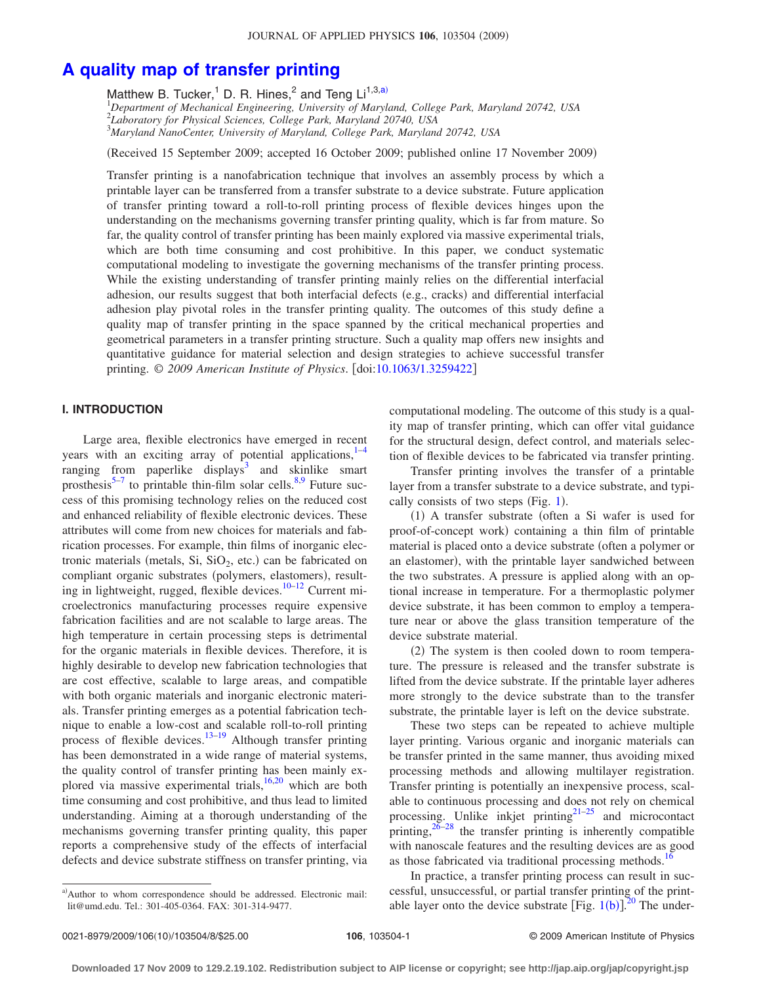# **[A quality map of transfer printing](http://dx.doi.org/10.1063/1.3259422)**

Matthew B. Tucker,<sup>1</sup> D. R. Hines,<sup>2</sup> and Teng  $Li^{1,3,a}$ 

1 *Department of Mechanical Engineering, University of Maryland, College Park, Maryland 20742, USA* 2 *Laboratory for Physical Sciences, College Park, Maryland 20740, USA* 3 *Maryland NanoCenter, University of Maryland, College Park, Maryland 20742, USA*

Received 15 September 2009; accepted 16 October 2009; published online 17 November 2009-

Transfer printing is a nanofabrication technique that involves an assembly process by which a printable layer can be transferred from a transfer substrate to a device substrate. Future application of transfer printing toward a roll-to-roll printing process of flexible devices hinges upon the understanding on the mechanisms governing transfer printing quality, which is far from mature. So far, the quality control of transfer printing has been mainly explored via massive experimental trials, which are both time consuming and cost prohibitive. In this paper, we conduct systematic computational modeling to investigate the governing mechanisms of the transfer printing process. While the existing understanding of transfer printing mainly relies on the differential interfacial adhesion, our results suggest that both interfacial defects (e.g., cracks) and differential interfacial adhesion play pivotal roles in the transfer printing quality. The outcomes of this study define a quality map of transfer printing in the space spanned by the critical mechanical properties and geometrical parameters in a transfer printing structure. Such a quality map offers new insights and quantitative guidance for material selection and design strategies to achieve successful transfer printing. © 2009 American Institute of Physics. [doi[:10.1063/1.3259422](http://dx.doi.org/10.1063/1.3259422)]

## **I. INTRODUCTION**

Large area, flexible electronics have emerged in recent years with an exciting array of potential applications, $1-4$  $1-4$ ranging from paperlike displays<sup>3</sup> and skinlike smart prosthesis $5-7$  to printable thin-film solar cells.<sup>8[,9](#page-7-6)</sup> Future success of this promising technology relies on the reduced cost and enhanced reliability of flexible electronic devices. These attributes will come from new choices for materials and fabrication processes. For example, thin films of inorganic electronic materials (metals, Si,  $SiO<sub>2</sub>$ , etc.) can be fabricated on compliant organic substrates (polymers, elastomers), resulting in lightweight, rugged, flexible devices. $10-12$  $10-12$  Current microelectronics manufacturing processes require expensive fabrication facilities and are not scalable to large areas. The high temperature in certain processing steps is detrimental for the organic materials in flexible devices. Therefore, it is highly desirable to develop new fabrication technologies that are cost effective, scalable to large areas, and compatible with both organic materials and inorganic electronic materials. Transfer printing emerges as a potential fabrication technique to enable a low-cost and scalable roll-to-roll printing process of flexible devices.<sup>13–[19](#page-7-10)</sup> Although transfer printing has been demonstrated in a wide range of material systems, the quality control of transfer printing has been mainly explored via massive experimental trials, $16,20$  $16,20$  which are both time consuming and cost prohibitive, and thus lead to limited understanding. Aiming at a thorough understanding of the mechanisms governing transfer printing quality, this paper reports a comprehensive study of the effects of interfacial defects and device substrate stiffness on transfer printing, via

computational modeling. The outcome of this study is a quality map of transfer printing, which can offer vital guidance for the structural design, defect control, and materials selection of flexible devices to be fabricated via transfer printing.

Transfer printing involves the transfer of a printable layer from a transfer substrate to a device substrate, and typi-cally consists of two steps (Fig. [1](#page-1-0)).

(1) A transfer substrate (often a Si wafer is used for proof-of-concept work) containing a thin film of printable material is placed onto a device substrate (often a polymer or an elastomer), with the printable layer sandwiched between the two substrates. A pressure is applied along with an optional increase in temperature. For a thermoplastic polymer device substrate, it has been common to employ a temperature near or above the glass transition temperature of the device substrate material.

(2) The system is then cooled down to room temperature. The pressure is released and the transfer substrate is lifted from the device substrate. If the printable layer adheres more strongly to the device substrate than to the transfer substrate, the printable layer is left on the device substrate.

These two steps can be repeated to achieve multiple layer printing. Various organic and inorganic materials can be transfer printed in the same manner, thus avoiding mixed processing methods and allowing multilayer registration. Transfer printing is potentially an inexpensive process, scalable to continuous processing and does not rely on chemical processing. Unlike inkjet printing $2^{1-25}$  $2^{1-25}$  $2^{1-25}$  and microcontact printing, $26-28$  the transfer printing is inherently compatible with nanoscale features and the resulting devices are as good as those fabricated via traditional processing methods.<sup>16</sup>

In practice, a transfer printing process can result in successful, unsuccessful, or partial transfer printing of the printable layer onto the device substrate  $\left[ \text{Fig. 1(b)} \right]$  $\left[ \text{Fig. 1(b)} \right]$  $\left[ \text{Fig. 1(b)} \right]$ <sup>[20](#page-7-12)</sup> The under-

a)Author to whom correspondence should be addressed. Electronic mail: lit@umd.edu. Tel.: 301-405-0364. FAX: 301-314-9477.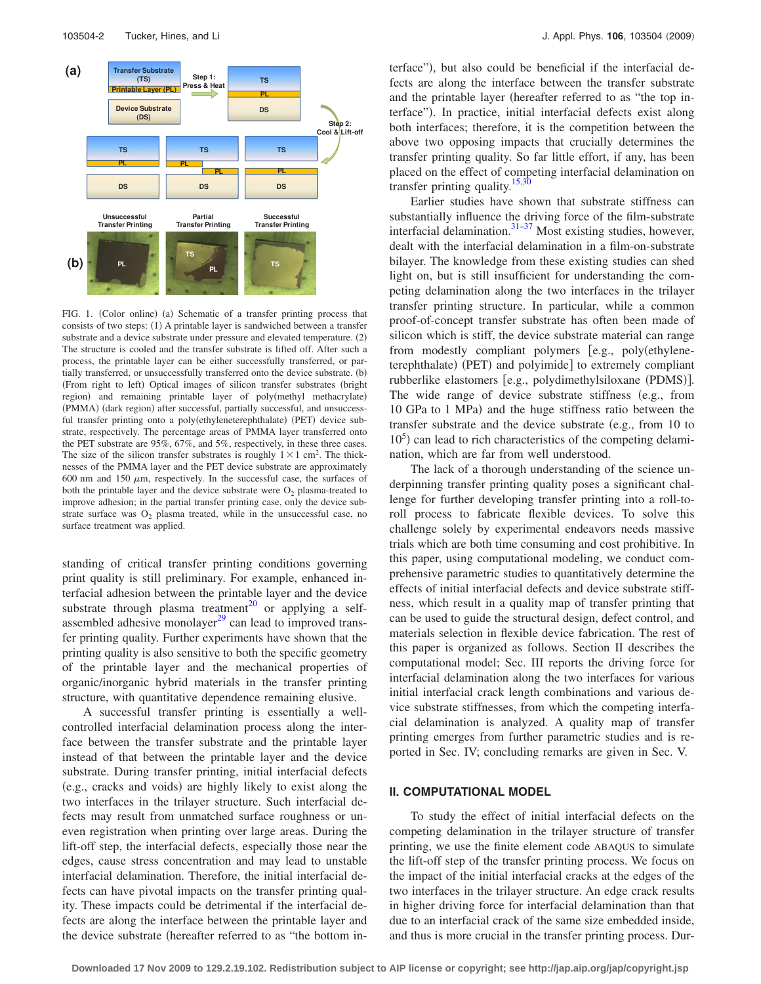<span id="page-1-0"></span>

FIG. 1. (Color online) (a) Schematic of a transfer printing process that consists of two steps: (1) A printable layer is sandwiched between a transfer substrate and a device substrate under pressure and elevated temperature. (2) The structure is cooled and the transfer substrate is lifted off. After such a process, the printable layer can be either successfully transferred, or partially transferred, or unsuccessfully transferred onto the device substrate. (b) (From right to left) Optical images of silicon transfer substrates (bright region) and remaining printable layer of poly(methyl methacrylate) (PMMA) (dark region) after successful, partially successful, and unsuccessful transfer printing onto a poly(ethyleneterephthalate) (PET) device substrate, respectively. The percentage areas of PMMA layer transferred onto the PET substrate are 95%, 67%, and 5%, respectively, in these three cases. The size of the silicon transfer substrates is roughly  $1 \times 1$  cm<sup>2</sup>. The thicknesses of the PMMA layer and the PET device substrate are approximately 600 nm and 150  $\mu$ m, respectively. In the successful case, the surfaces of both the printable layer and the device substrate were  $O_2$  plasma-treated to improve adhesion; in the partial transfer printing case, only the device substrate surface was  $O_2$  plasma treated, while in the unsuccessful case, no surface treatment was applied.

standing of critical transfer printing conditions governing print quality is still preliminary. For example, enhanced interfacial adhesion between the printable layer and the device substrate through plasma treatment<sup>20</sup> or applying a selfassembled adhesive monolayer $^{29}$  can lead to improved transfer printing quality. Further experiments have shown that the printing quality is also sensitive to both the specific geometry of the printable layer and the mechanical properties of organic/inorganic hybrid materials in the transfer printing structure, with quantitative dependence remaining elusive.

A successful transfer printing is essentially a wellcontrolled interfacial delamination process along the interface between the transfer substrate and the printable layer instead of that between the printable layer and the device substrate. During transfer printing, initial interfacial defects (e.g., cracks and voids) are highly likely to exist along the two interfaces in the trilayer structure. Such interfacial defects may result from unmatched surface roughness or uneven registration when printing over large areas. During the lift-off step, the interfacial defects, especially those near the edges, cause stress concentration and may lead to unstable interfacial delamination. Therefore, the initial interfacial defects can have pivotal impacts on the transfer printing quality. These impacts could be detrimental if the interfacial defects are along the interface between the printable layer and the device substrate (hereafter referred to as "the bottom in-

terface"), but also could be beneficial if the interfacial defects are along the interface between the transfer substrate and the printable layer (hereafter referred to as "the top interface"). In practice, initial interfacial defects exist along both interfaces; therefore, it is the competition between the above two opposing impacts that crucially determines the transfer printing quality. So far little effort, if any, has been placed on the effect of competing interfacial delamination on transfer printing quality.<sup>15[,30](#page-7-19)</sup>

Earlier studies have shown that substrate stiffness can substantially influence the driving force of the film-substrate interfacial delamination. $31-37$  Most existing studies, however, dealt with the interfacial delamination in a film-on-substrate bilayer. The knowledge from these existing studies can shed light on, but is still insufficient for understanding the competing delamination along the two interfaces in the trilayer transfer printing structure. In particular, while a common proof-of-concept transfer substrate has often been made of silicon which is stiff, the device substrate material can range from modestly compliant polymers [e.g., poly(ethyleneterephthalate) (PET) and polyimide] to extremely compliant rubberlike elastomers [e.g., polydimethylsiloxane (PDMS)]. The wide range of device substrate stiffness (e.g., from 10 GPa to 1 MPa) and the huge stiffness ratio between the transfer substrate and the device substrate  $(e.g., from 10 to$ 10<sup>5</sup>) can lead to rich characteristics of the competing delamination, which are far from well understood.

The lack of a thorough understanding of the science underpinning transfer printing quality poses a significant challenge for further developing transfer printing into a roll-toroll process to fabricate flexible devices. To solve this challenge solely by experimental endeavors needs massive trials which are both time consuming and cost prohibitive. In this paper, using computational modeling, we conduct comprehensive parametric studies to quantitatively determine the effects of initial interfacial defects and device substrate stiffness, which result in a quality map of transfer printing that can be used to guide the structural design, defect control, and materials selection in flexible device fabrication. The rest of this paper is organized as follows. Section II describes the computational model; Sec. III reports the driving force for interfacial delamination along the two interfaces for various initial interfacial crack length combinations and various device substrate stiffnesses, from which the competing interfacial delamination is analyzed. A quality map of transfer printing emerges from further parametric studies and is reported in Sec. IV; concluding remarks are given in Sec. V.

#### **II. COMPUTATIONAL MODEL**

To study the effect of initial interfacial defects on the competing delamination in the trilayer structure of transfer printing, we use the finite element code ABAQUS to simulate the lift-off step of the transfer printing process. We focus on the impact of the initial interfacial cracks at the edges of the two interfaces in the trilayer structure. An edge crack results in higher driving force for interfacial delamination than that due to an interfacial crack of the same size embedded inside, and thus is more crucial in the transfer printing process. Dur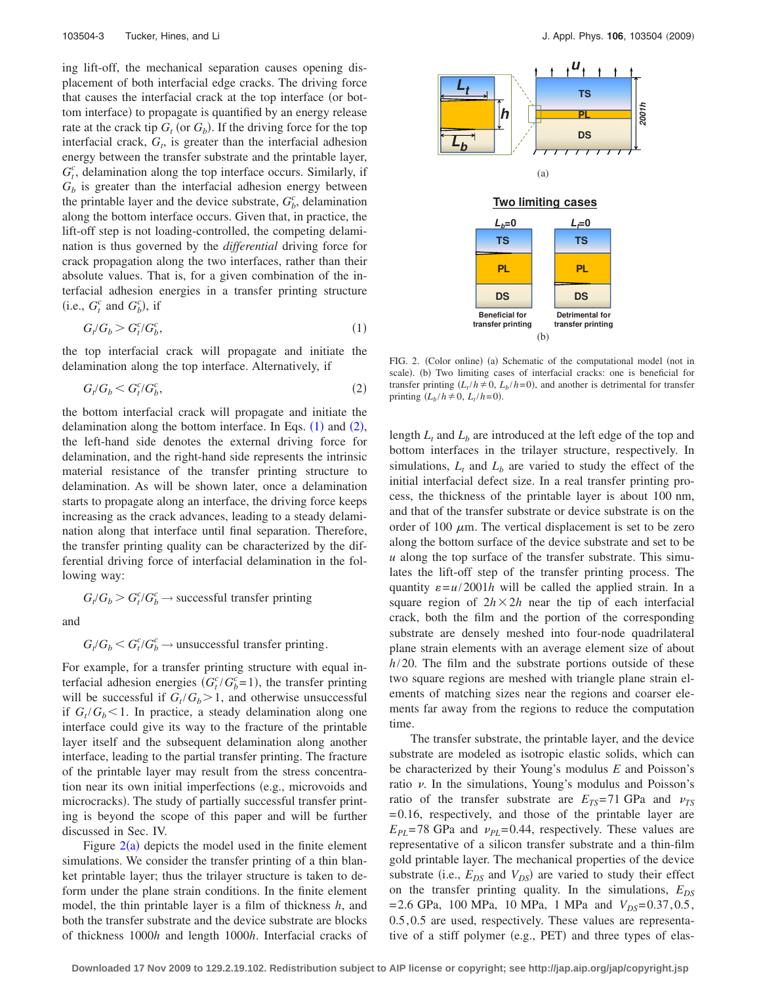ing lift-off, the mechanical separation causes opening displacement of both interfacial edge cracks. The driving force that causes the interfacial crack at the top interface (or bottom interface) to propagate is quantified by an energy release rate at the crack tip  $G_t$  (or  $G_b$ ). If the driving force for the top interfacial crack,  $G_t$ , is greater than the interfacial adhesion energy between the transfer substrate and the printable layer,  $G_t^c$ , delamination along the top interface occurs. Similarly, if  $G_b$  is greater than the interfacial adhesion energy between the printable layer and the device substrate,  $G_b^c$ , delamination along the bottom interface occurs. Given that, in practice, the lift-off step is not loading-controlled, the competing delamination is thus governed by the *differential* driving force for crack propagation along the two interfaces, rather than their absolute values. That is, for a given combination of the interfacial adhesion energies in a transfer printing structure (i.e.,  $G_t^c$  and  $G_b^c$ ), if

<span id="page-2-0"></span>
$$
G_t/G_b > G_t^c/G_b^c,\tag{1}
$$

the top interfacial crack will propagate and initiate the delamination along the top interface. Alternatively, if

$$
G_t/G_b < G_t^c/G_b^c,\tag{2}
$$

<span id="page-2-1"></span>the bottom interfacial crack will propagate and initiate the delamination along the bottom interface. In Eqs.  $(1)$  $(1)$  $(1)$  and  $(2)$  $(2)$  $(2)$ , the left-hand side denotes the external driving force for delamination, and the right-hand side represents the intrinsic material resistance of the transfer printing structure to delamination. As will be shown later, once a delamination starts to propagate along an interface, the driving force keeps increasing as the crack advances, leading to a steady delamination along that interface until final separation. Therefore, the transfer printing quality can be characterized by the differential driving force of interfacial delamination in the following way:

$$
G_t/G_b > G_t^c/G_b^c \rightarrow \text{successful transfer printing}
$$

and

$$
G_t/G_b < G_t^c/G_b^c \rightarrow \text{unsuccessful transfer printing}.
$$

For example, for a transfer printing structure with equal interfacial adhesion energies  $(G_t^c/G_b^c=1)$ , the transfer printing will be successful if  $G_t/G_b > 1$ , and otherwise unsuccessful if  $G_t/G_b \leq 1$ . In practice, a steady delamination along one interface could give its way to the fracture of the printable layer itself and the subsequent delamination along another interface, leading to the partial transfer printing. The fracture of the printable layer may result from the stress concentration near its own initial imperfections (e.g., microvoids and microcracks). The study of partially successful transfer printing is beyond the scope of this paper and will be further discussed in Sec. IV.

Figure  $2(a)$  $2(a)$  depicts the model used in the finite element simulations. We consider the transfer printing of a thin blanket printable layer; thus the trilayer structure is taken to deform under the plane strain conditions. In the finite element model, the thin printable layer is a film of thickness *h*, and both the transfer substrate and the device substrate are blocks of thickness 1000*h* and length 1000*h*. Interfacial cracks of

<span id="page-2-2"></span>

FIG. 2. (Color online) (a) Schematic of the computational model (not in scale). (b) Two limiting cases of interfacial cracks: one is beneficial for transfer printing  $(L_t/h \neq 0, L_b/h = 0)$ , and another is detrimental for transfer printing  $(L_b/h \neq 0, L_t/h = 0)$ .

length  $L_t$  and  $L_b$  are introduced at the left edge of the top and bottom interfaces in the trilayer structure, respectively. In simulations,  $L_t$  and  $L_b$  are varied to study the effect of the initial interfacial defect size. In a real transfer printing process, the thickness of the printable layer is about 100 nm, and that of the transfer substrate or device substrate is on the order of 100  $\mu$ m. The vertical displacement is set to be zero along the bottom surface of the device substrate and set to be *u* along the top surface of the transfer substrate. This simulates the lift-off step of the transfer printing process. The quantity  $\varepsilon = u/2001h$  will be called the applied strain. In a square region of  $2h \times 2h$  near the tip of each interfacial crack, both the film and the portion of the corresponding substrate are densely meshed into four-node quadrilateral plane strain elements with an average element size of about *h*/20. The film and the substrate portions outside of these two square regions are meshed with triangle plane strain elements of matching sizes near the regions and coarser elements far away from the regions to reduce the computation time.

The transfer substrate, the printable layer, and the device substrate are modeled as isotropic elastic solids, which can be characterized by their Young's modulus *E* and Poisson's ratio  $\nu$ . In the simulations, Young's modulus and Poisson's ratio of the transfer substrate are  $E_{TS} = 71$  GPa and  $v_{TS}$ = 0.16, respectively, and those of the printable layer are  $E_{PL}$ =78 GPa and  $v_{PL}$ =0.44, respectively. These values are representative of a silicon transfer substrate and a thin-film gold printable layer. The mechanical properties of the device substrate (i.e.,  $E_{DS}$  and  $V_{DS}$ ) are varied to study their effect on the transfer printing quality. In the simulations,  $E_{DS}$  $= 2.6$  GPa, 100 MPa, 10 MPa, 1 MPa and  $V_{DS} = 0.37, 0.5$ , 0.5, 0.5 are used, respectively. These values are representative of a stiff polymer (e.g., PET) and three types of elas-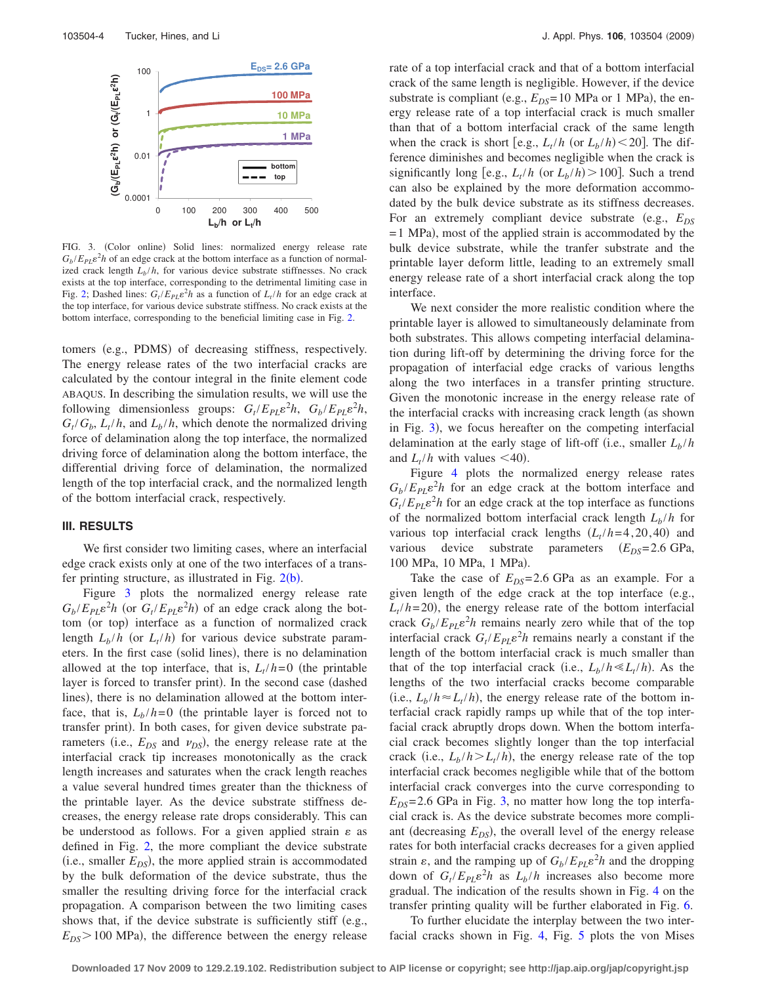<span id="page-3-0"></span>

FIG. 3. (Color online) Solid lines: normalized energy release rate  $G_b/E_{PL} \varepsilon^2 h$  of an edge crack at the bottom interface as a function of normalized crack length  $L_b/h$ , for various device substrate stiffnesses. No crack exists at the top interface, corresponding to the detrimental limiting case in Fig. [2;](#page-2-2) Dashed lines:  $G_t / E_{PL} \varepsilon^2 h$  as a function of  $L_t / h$  for an edge crack at the top interface, for various device substrate stiffness. No crack exists at the bottom interface, corresponding to the beneficial limiting case in Fig. [2.](#page-2-2)

tomers (e.g., PDMS) of decreasing stiffness, respectively. The energy release rates of the two interfacial cracks are calculated by the contour integral in the finite element code ABAQUS. In describing the simulation results, we will use the following dimensionless groups:  $G_t / E_{PL} \varepsilon^2 h$ ,  $G_b / E_{PL} \varepsilon^2 h$ ,  $G_t/G_b$ ,  $L_t/h$ , and  $L_b/h$ , which denote the normalized driving force of delamination along the top interface, the normalized driving force of delamination along the bottom interface, the differential driving force of delamination, the normalized length of the top interfacial crack, and the normalized length of the bottom interfacial crack, respectively.

#### **III. RESULTS**

We first consider two limiting cases, where an interfacial edge crack exists only at one of the two interfaces of a transfer printing structure, as illustrated in Fig.  $2(b)$  $2(b)$ .

Figure [3](#page-3-0) plots the normalized energy release rate  $G_b / E_{PL} \varepsilon^2 h$  (or  $G_t / E_{PL} \varepsilon^2 h$ ) of an edge crack along the bottom (or top) interface as a function of normalized crack length  $L_b/h$  (or  $L_t/h$ ) for various device substrate parameters. In the first case (solid lines), there is no delamination allowed at the top interface, that is,  $L_t / h = 0$  (the printable layer is forced to transfer print). In the second case (dashed lines), there is no delamination allowed at the bottom interface, that is,  $L_b/h=0$  (the printable layer is forced not to transfer print). In both cases, for given device substrate parameters (i.e.,  $E_{DS}$  and  $v_{DS}$ ), the energy release rate at the interfacial crack tip increases monotonically as the crack length increases and saturates when the crack length reaches a value several hundred times greater than the thickness of the printable layer. As the device substrate stiffness decreases, the energy release rate drops considerably. This can be understood as follows. For a given applied strain  $\varepsilon$  as defined in Fig. [2,](#page-2-2) the more compliant the device substrate  $(i.e., smaller E<sub>DS</sub>)$ , the more applied strain is accommodated by the bulk deformation of the device substrate, thus the smaller the resulting driving force for the interfacial crack propagation. A comparison between the two limiting cases shows that, if the device substrate is sufficiently stiff (e.g.,  $E_{DS}$  > 100 MPa), the difference between the energy release

rate of a top interfacial crack and that of a bottom interfacial crack of the same length is negligible. However, if the device substrate is compliant (e.g.,  $E_{DS} = 10 \text{ MPa}$  or 1 MPa), the energy release rate of a top interfacial crack is much smaller than that of a bottom interfacial crack of the same length when the crack is short [e.g.,  $L_t/h$  (or  $L_b/h$ ) < 20]. The difference diminishes and becomes negligible when the crack is significantly long [e.g.,  $L_t/h$  (or  $L_b/h$ ) > 100]. Such a trend can also be explained by the more deformation accommodated by the bulk device substrate as its stiffness decreases. For an extremely compliant device substrate (e.g.,  $E_{DS}$ )  $= 1$  MPa), most of the applied strain is accommodated by the bulk device substrate, while the tranfer substrate and the printable layer deform little, leading to an extremely small energy release rate of a short interfacial crack along the top interface.

We next consider the more realistic condition where the printable layer is allowed to simultaneously delaminate from both substrates. This allows competing interfacial delamination during lift-off by determining the driving force for the propagation of interfacial edge cracks of various lengths along the two interfaces in a transfer printing structure. Given the monotonic increase in the energy release rate of the interfacial cracks with increasing crack length (as shown in Fig.  $3$ ), we focus hereafter on the competing interfacial delamination at the early stage of lift-off (i.e., smaller  $L_b/h$ and  $L_t/h$  with values <40).

Figure [4](#page-4-0) plots the normalized energy release rates  $G_b/E_{PL} \varepsilon^2 h$  for an edge crack at the bottom interface and  $G_t / E_{PL} \varepsilon^2 h$  for an edge crack at the top interface as functions of the normalized bottom interfacial crack length  $L_b/h$  for various top interfacial crack lengths  $(L_t/h=4, 20, 40)$  and various device substrate parameters ( $E_{DS}$ =2.6 GPa, 100 MPa, 10 MPa, 1 MPa).

Take the case of  $E_{DS} = 2.6$  GPa as an example. For a given length of the edge crack at the top interface  $(e.g.,)$  $L_t/h = 20$ ), the energy release rate of the bottom interfacial crack  $G_b/E_{PL} \varepsilon^2 h$  remains nearly zero while that of the top interfacial crack  $G_t / E_{PL} \varepsilon^2 h$  remains nearly a constant if the length of the bottom interfacial crack is much smaller than that of the top interfacial crack (i.e.,  $L_b / h \ll L_t / h$ ). As the lengths of the two interfacial cracks become comparable (i.e.,  $L_b / h \approx L_t / h$ ), the energy release rate of the bottom interfacial crack rapidly ramps up while that of the top interfacial crack abruptly drops down. When the bottom interfacial crack becomes slightly longer than the top interfacial crack (i.e.,  $L_b/h > L_t/h$ ), the energy release rate of the top interfacial crack becomes negligible while that of the bottom interfacial crack converges into the curve corresponding to  $E_{DS}$ = 2.6 GPa in Fig. [3,](#page-3-0) no matter how long the top interfacial crack is. As the device substrate becomes more compliant (decreasing  $E_{DS}$ ), the overall level of the energy release rates for both interfacial cracks decreases for a given applied strain  $\varepsilon$ , and the ramping up of  $G_b / E_{PL} \varepsilon^2 h$  and the dropping down of  $G_t / E_{PL} \varepsilon^2 h$  as  $L_b / h$  increases also become more gradual. The indication of the results shown in Fig. [4](#page-4-0) on the transfer printing quality will be further elaborated in Fig. [6.](#page-4-1)

To further elucidate the interplay between the two interfacial cracks shown in Fig. [4,](#page-4-0) Fig. [5](#page-4-2) plots the von Mises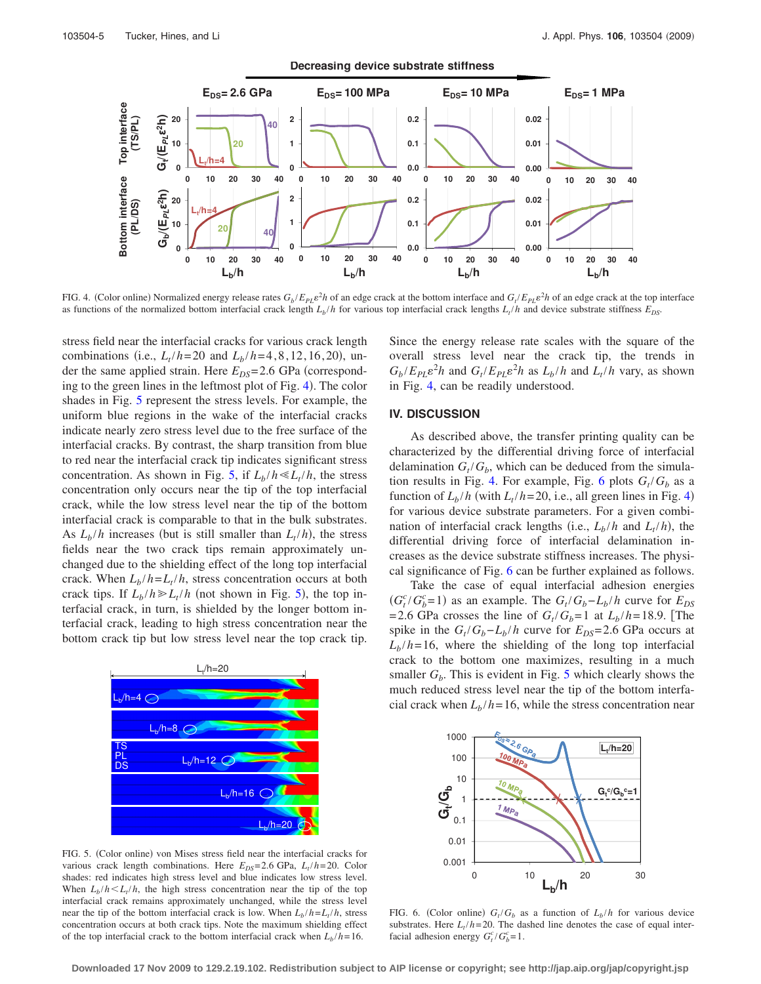<span id="page-4-0"></span>

FIG. 4. (Color online) Normalized energy release rates  $G_b/E_{PL}e^2h$  of an edge crack at the bottom interface and  $G_t/E_{PL}e^2h$  of an edge crack at the top interface as functions of the normalized bottom interfacial crack length  $L_b/h$  for various top interfacial crack lengths  $L_f/h$  and device substrate stiffness  $E_{DS}$ .

stress field near the interfacial cracks for various crack length combinations (i.e.,  $L_t / h = 20$  and  $L_b / h = 4, 8, 12, 16, 20$ ), under the same applied strain. Here  $E_{DS}$ =2.6 GPa (correspond-ing to the green lines in the leftmost plot of Fig. [4](#page-4-0)). The color shades in Fig. [5](#page-4-2) represent the stress levels. For example, the uniform blue regions in the wake of the interfacial cracks indicate nearly zero stress level due to the free surface of the interfacial cracks. By contrast, the sharp transition from blue to red near the interfacial crack tip indicates significant stress concentration. As shown in Fig. [5,](#page-4-2) if  $L_h/h \ll L_t/h$ , the stress concentration only occurs near the tip of the top interfacial crack, while the low stress level near the tip of the bottom interfacial crack is comparable to that in the bulk substrates. As  $L_b/h$  increases (but is still smaller than  $L_t/h$ ), the stress fields near the two crack tips remain approximately unchanged due to the shielding effect of the long top interfacial crack. When  $L_b/h = L_t/h$ , stress concentration occurs at both crack tips. If  $L_b/h \ge L_t/h$  (not shown in Fig. [5](#page-4-2)), the top interfacial crack, in turn, is shielded by the longer bottom interfacial crack, leading to high stress concentration near the bottom crack tip but low stress level near the top crack tip.

<span id="page-4-2"></span>

FIG. 5. (Color online) von Mises stress field near the interfacial cracks for various crack length combinations. Here  $E_{DS} = 2.6$  GPa,  $L_t/h = 20$ . Color shades: red indicates high stress level and blue indicates low stress level. When  $L_b/h \le L_t/h$ , the high stress concentration near the tip of the top interfacial crack remains approximately unchanged, while the stress level near the tip of the bottom interfacial crack is low. When  $L_b/h = L_t/h$ , stress concentration occurs at both crack tips. Note the maximum shielding effect of the top interfacial crack to the bottom interfacial crack when  $L_b/h = 16$ .

Since the energy release rate scales with the square of the overall stress level near the crack tip, the trends in  $G_b / E_{PL} \varepsilon^2 h$  and  $G_t / E_{PL} \varepsilon^2 h$  as  $L_b / h$  and  $L_t / h$  vary, as shown in Fig. [4,](#page-4-0) can be readily understood.

#### **IV. DISCUSSION**

As described above, the transfer printing quality can be characterized by the differential driving force of interfacial delamination  $G_t/G_b$ , which can be deduced from the simula-tion results in Fig. [4.](#page-4-0) For example, Fig. [6](#page-4-1) plots  $G_t/G_b$  as a function of  $L_b/h$  (with  $L_t/h = 20$ , i.e., all green lines in Fig. [4](#page-4-0)) for various device substrate parameters. For a given combination of interfacial crack lengths (i.e.,  $L_b/h$  and  $L_t/h$ ), the differential driving force of interfacial delamination increases as the device substrate stiffness increases. The physical significance of Fig. [6](#page-4-1) can be further explained as follows.

Take the case of equal interfacial adhesion energies  $(G_t^c/G_b^c=1)$  as an example. The  $G_t/G_b-L_b/h$  curve for  $E_{DS}$ = 2.6 GPa crosses the line of  $G_t/G_b=1$  at  $L_b/h=18.9$ . [The spike in the  $G_t/G_b - L_b/h$  curve for  $E_{DS} = 2.6$  GPa occurs at  $L_b/h = 16$ , where the shielding of the long top interfacial crack to the bottom one maximizes, resulting in a much smaller  $G_b$ . This is evident in Fig. [5](#page-4-2) which clearly shows the much reduced stress level near the tip of the bottom interfacial crack when  $L_b/h = 16$ , while the stress concentration near

<span id="page-4-1"></span>

FIG. 6. (Color online)  $G_t/G_b$  as a function of  $L_b/h$  for various device substrates. Here  $L_1/h = 20$ . The dashed line denotes the case of equal interfacial adhesion energy  $G_t^c/G_b^c = 1$ .

**Downloaded 17 Nov 2009 to 129.2.19.102. Redistribution subject to AIP license or copyright; see http://jap.aip.org/jap/copyright.jsp**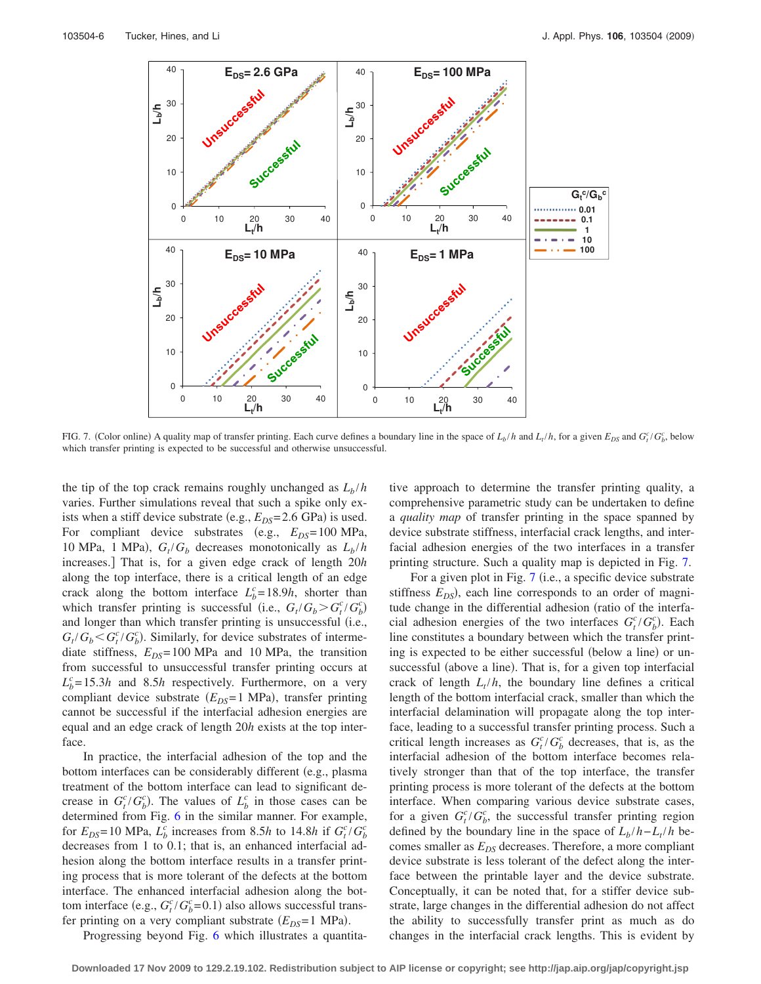<span id="page-5-0"></span>

FIG. 7. (Color online) A quality map of transfer printing. Each curve defines a boundary line in the space of  $L_b/h$  and  $L_t/h$ , for a given  $E_{DS}$  and  $G_t^c/G_b^c$ , below which transfer printing is expected to be successful and otherwise unsuccessful.

the tip of the top crack remains roughly unchanged as  $L_b/h$ varies. Further simulations reveal that such a spike only exists when a stiff device substrate  $(e.g.,  $E_{DS} = 2.6$  GPa) is used.$ For compliant device substrates (e.g.,  $E_{DS} = 100 \text{ MPa}$ , 10 MPa, 1 MPa),  $G_t/G_b$  decreases monotonically as  $L_b/h$ increases.] That is, for a given edge crack of length 20*h* along the top interface, there is a critical length of an edge crack along the bottom interface  $L_b^c = 18.9h$ , shorter than which transfer printing is successful (i.e.,  $G_t/G_b > G_t^c/G_b^c$ ) and longer than which transfer printing is unsuccessful (i.e.,  $G_t/G_b < G_t^c/G_b^c$ ). Similarly, for device substrates of intermediate stiffness,  $E_{DS} = 100 \text{ MPa}$  and 10 MPa, the transition from successful to unsuccessful transfer printing occurs at  $L_b^c = 15.3h$  and 8.5*h* respectively. Furthermore, on a very compliant device substrate ( $E_{DS}$ =1 MPa), transfer printing cannot be successful if the interfacial adhesion energies are equal and an edge crack of length 20*h* exists at the top interface.

In practice, the interfacial adhesion of the top and the bottom interfaces can be considerably different (e.g., plasma treatment of the bottom interface can lead to significant decrease in  $G_t^c/G_b^c$ ). The values of  $L_b^c$  in those cases can be determined from Fig. [6](#page-4-1) in the similar manner. For example, for  $E_{DS} = 10 \text{ MPa}$ ,  $L_b^c$  increases from 8.5*h* to 14.8*h* if  $G_t^c/G_b^c$ decreases from 1 to 0.1; that is, an enhanced interfacial adhesion along the bottom interface results in a transfer printing process that is more tolerant of the defects at the bottom interface. The enhanced interfacial adhesion along the bottom interface (e.g.,  $G_t^c/G_b^c = 0.1$ ) also allows successful transfer printing on a very compliant substrate  $(E_{DS} = 1 \text{ MPa})$ .

Progressing beyond Fig. [6](#page-4-1) which illustrates a quantita-

tive approach to determine the transfer printing quality, a comprehensive parametric study can be undertaken to define a *quality map* of transfer printing in the space spanned by device substrate stiffness, interfacial crack lengths, and interfacial adhesion energies of the two interfaces in a transfer printing structure. Such a quality map is depicted in Fig. [7.](#page-5-0)

For a given plot in Fig. [7](#page-5-0) (i.e., a specific device substrate stiffness  $E_{DS}$ ), each line corresponds to an order of magnitude change in the differential adhesion (ratio of the interfacial adhesion energies of the two interfaces  $G_t^c/G_b^c$ ). Each line constitutes a boundary between which the transfer printing is expected to be either successful (below a line) or unsuccessful (above a line). That is, for a given top interfacial crack of length  $L_t/h$ , the boundary line defines a critical length of the bottom interfacial crack, smaller than which the interfacial delamination will propagate along the top interface, leading to a successful transfer printing process. Such a critical length increases as  $G_t^c/G_b^c$  decreases, that is, as the interfacial adhesion of the bottom interface becomes relatively stronger than that of the top interface, the transfer printing process is more tolerant of the defects at the bottom interface. When comparing various device substrate cases, for a given  $G_t^c/G_b^c$ , the successful transfer printing region defined by the boundary line in the space of  $L_b/h - L_t/h$  becomes smaller as  $E_{DS}$  decreases. Therefore, a more compliant device substrate is less tolerant of the defect along the interface between the printable layer and the device substrate. Conceptually, it can be noted that, for a stiffer device substrate, large changes in the differential adhesion do not affect the ability to successfully transfer print as much as do changes in the interfacial crack lengths. This is evident by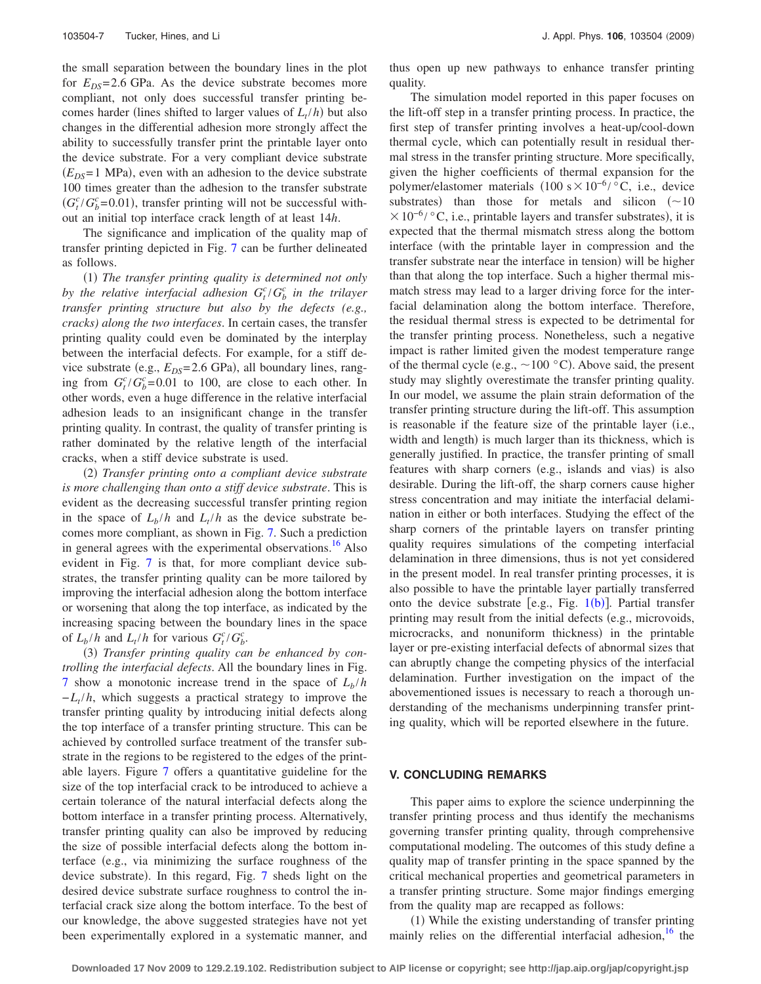the small separation between the boundary lines in the plot for  $E_{DS}$ =2.6 GPa. As the device substrate becomes more compliant, not only does successful transfer printing becomes harder (lines shifted to larger values of  $L_t / h$ ) but also changes in the differential adhesion more strongly affect the ability to successfully transfer print the printable layer onto the device substrate. For a very compliant device substrate  $(E_{DS} = 1$  MPa), even with an adhesion to the device substrate 100 times greater than the adhesion to the transfer substrate  $(G_t^c/G_b^c = 0.01)$ , transfer printing will not be successful without an initial top interface crack length of at least 14*h*.

The significance and implication of the quality map of transfer printing depicted in Fig. [7](#page-5-0) can be further delineated as follows.

(1) The transfer printing quality is determined not only by the relative interfacial adhesion  $G_t^c/G_b^c$  in the trilayer *transfer printing structure but also by the defects (e.g., cracks) along the two interfaces*. In certain cases, the transfer printing quality could even be dominated by the interplay between the interfacial defects. For example, for a stiff device substrate (e.g.,  $E_{DS}$ =2.6 GPa), all boundary lines, ranging from  $G_t^c/G_b^c = 0.01$  to 100, are close to each other. In other words, even a huge difference in the relative interfacial adhesion leads to an insignificant change in the transfer printing quality. In contrast, the quality of transfer printing is rather dominated by the relative length of the interfacial cracks, when a stiff device substrate is used.

(2) Transfer printing onto a compliant device substrate *is more challenging than onto a stiff device substrate*. This is evident as the decreasing successful transfer printing region in the space of  $L_b/h$  and  $L_t/h$  as the device substrate becomes more compliant, as shown in Fig. [7.](#page-5-0) Such a prediction in general agrees with the experimental observations.<sup>16</sup> Also evident in Fig. [7](#page-5-0) is that, for more compliant device substrates, the transfer printing quality can be more tailored by improving the interfacial adhesion along the bottom interface or worsening that along the top interface, as indicated by the increasing spacing between the boundary lines in the space of  $L_b/h$  and  $L_t/h$  for various  $G_t^c/G_b^c$ .

(3) Transfer printing quality can be enhanced by con*trolling the interfacial defects*. All the boundary lines in Fig. [7](#page-5-0) show a monotonic increase trend in the space of  $L_b/h$ *−L<sub>t</sub>* /*h*, which suggests a practical strategy to improve the transfer printing quality by introducing initial defects along the top interface of a transfer printing structure. This can be achieved by controlled surface treatment of the transfer substrate in the regions to be registered to the edges of the printable layers. Figure [7](#page-5-0) offers a quantitative guideline for the size of the top interfacial crack to be introduced to achieve a certain tolerance of the natural interfacial defects along the bottom interface in a transfer printing process. Alternatively, transfer printing quality can also be improved by reducing the size of possible interfacial defects along the bottom interface (e.g., via minimizing the surface roughness of the device substrate). In this regard, Fig. [7](#page-5-0) sheds light on the desired device substrate surface roughness to control the interfacial crack size along the bottom interface. To the best of our knowledge, the above suggested strategies have not yet been experimentally explored in a systematic manner, and thus open up new pathways to enhance transfer printing quality.

The simulation model reported in this paper focuses on the lift-off step in a transfer printing process. In practice, the first step of transfer printing involves a heat-up/cool-down thermal cycle, which can potentially result in residual thermal stress in the transfer printing structure. More specifically, given the higher coefficients of thermal expansion for the polymer/elastomer materials  $(100 \text{ s} \times 10^{-6} / \text{°C}$ , i.e., device substrates) than those for metals and silicon  $(\sim 10$  $× 10^{-6}$ / °C, i.e., printable layers and transfer substrates), it is expected that the thermal mismatch stress along the bottom interface (with the printable layer in compression and the transfer substrate near the interface in tension) will be higher than that along the top interface. Such a higher thermal mismatch stress may lead to a larger driving force for the interfacial delamination along the bottom interface. Therefore, the residual thermal stress is expected to be detrimental for the transfer printing process. Nonetheless, such a negative impact is rather limited given the modest temperature range of the thermal cycle (e.g.,  $\sim$  100 °C). Above said, the present study may slightly overestimate the transfer printing quality. In our model, we assume the plain strain deformation of the transfer printing structure during the lift-off. This assumption is reasonable if the feature size of the printable layer (i.e., width and length) is much larger than its thickness, which is generally justified. In practice, the transfer printing of small features with sharp corners (e.g., islands and vias) is also desirable. During the lift-off, the sharp corners cause higher stress concentration and may initiate the interfacial delamination in either or both interfaces. Studying the effect of the sharp corners of the printable layers on transfer printing quality requires simulations of the competing interfacial delamination in three dimensions, thus is not yet considered in the present model. In real transfer printing processes, it is also possible to have the printable layer partially transferred onto the device substrate [e.g., Fig.  $1(b)$  $1(b)$ ]. Partial transfer printing may result from the initial defects (e.g., microvoids, microcracks, and nonuniform thickness) in the printable layer or pre-existing interfacial defects of abnormal sizes that can abruptly change the competing physics of the interfacial delamination. Further investigation on the impact of the abovementioned issues is necessary to reach a thorough understanding of the mechanisms underpinning transfer printing quality, which will be reported elsewhere in the future.

#### **V. CONCLUDING REMARKS**

This paper aims to explore the science underpinning the transfer printing process and thus identify the mechanisms governing transfer printing quality, through comprehensive computational modeling. The outcomes of this study define a quality map of transfer printing in the space spanned by the critical mechanical properties and geometrical parameters in a transfer printing structure. Some major findings emerging from the quality map are recapped as follows:

(1) While the existing understanding of transfer printing mainly relies on the differential interfacial adhesion,  $16$  the